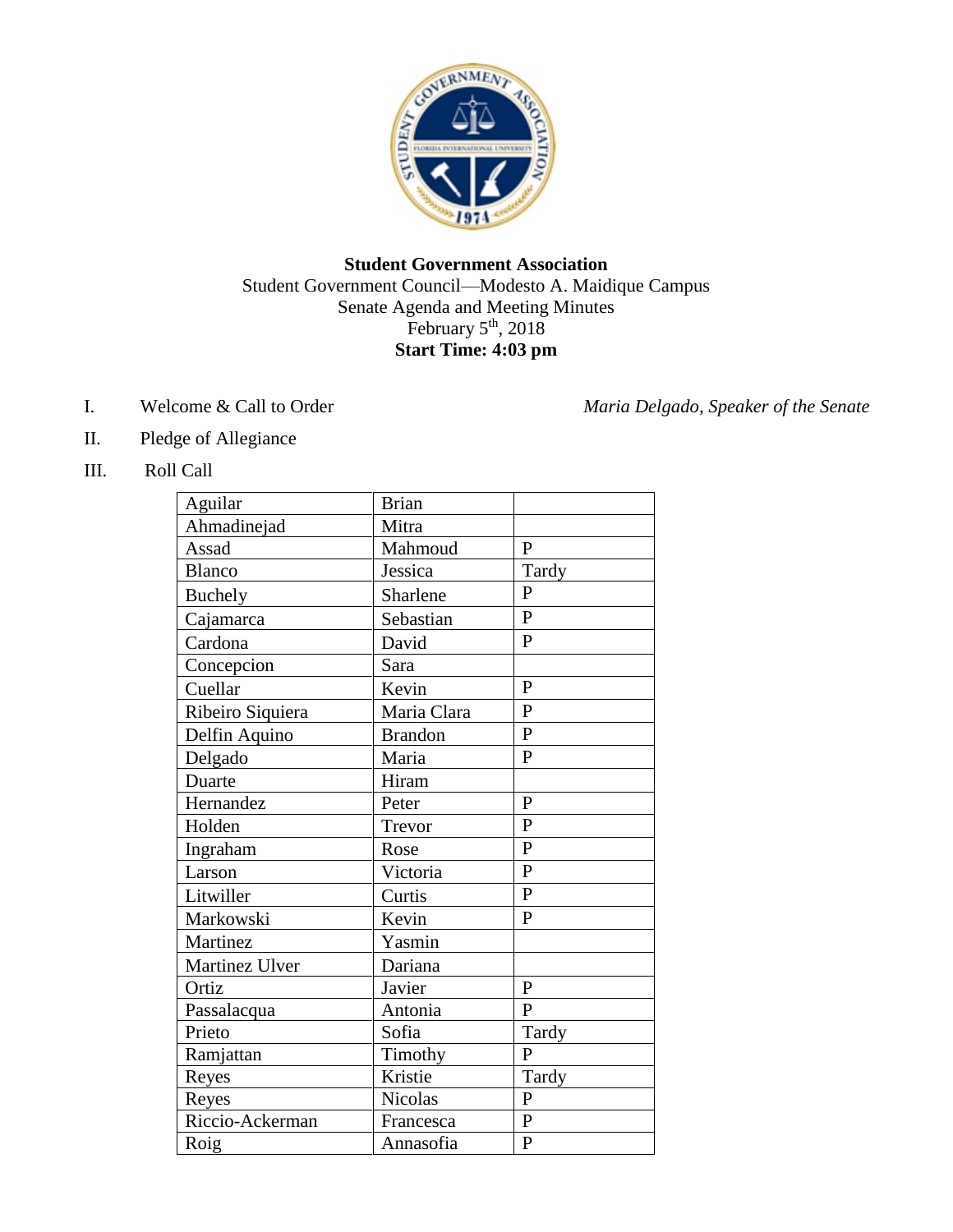

## **Student Government Association** Student Government Council—Modesto A. Maidique Campus Senate Agenda and Meeting Minutes February 5<sup>th</sup>, 2018 **Start Time: 4:03 pm**

I. Welcome & Call to Order *Maria Delgado, Speaker of the Senate* 

- II. Pledge of Allegiance
- III. Roll Call

| Aguilar          | <b>Brian</b>   |                |
|------------------|----------------|----------------|
| Ahmadinejad      | Mitra          |                |
| Assad            | Mahmoud        | $\mathbf{P}$   |
| Blanco           | Jessica        | Tardy          |
| <b>Buchely</b>   | Sharlene       | $\overline{P}$ |
| Cajamarca        | Sebastian      | $\mathbf{P}$   |
| Cardona          | David          | $\mathbf{P}$   |
| Concepcion       | Sara           |                |
| Cuellar          | Kevin          | $\mathbf{P}$   |
| Ribeiro Siquiera | Maria Clara    | $\overline{P}$ |
| Delfin Aquino    | <b>Brandon</b> | $\mathbf{P}$   |
| Delgado          | Maria          | $\overline{P}$ |
| Duarte           | Hiram          |                |
| Hernandez        | Peter          | $\mathbf{P}$   |
| Holden           | Trevor         | $\mathbf{P}$   |
| Ingraham         | Rose           | $\mathbf{P}$   |
| Larson           | Victoria       | $\mathbf{P}$   |
| Litwiller        | Curtis         | $\overline{P}$ |
| Markowski        | Kevin          | $\overline{P}$ |
| Martinez         | Yasmin         |                |
| Martinez Ulver   | Dariana        |                |
| Ortiz            | Javier         | $\mathbf{P}$   |
| Passalacqua      | Antonia        | $\mathbf{P}$   |
| Prieto           | Sofia          | Tardy          |
| Ramjattan        | Timothy        | $\mathbf{P}$   |
| Reyes            | Kristie        | Tardy          |
| Reyes            | <b>Nicolas</b> | ${\bf P}$      |
| Riccio-Ackerman  | Francesca      | ${\bf P}$      |
| Roig             | Annasofia      | $\mathbf{P}$   |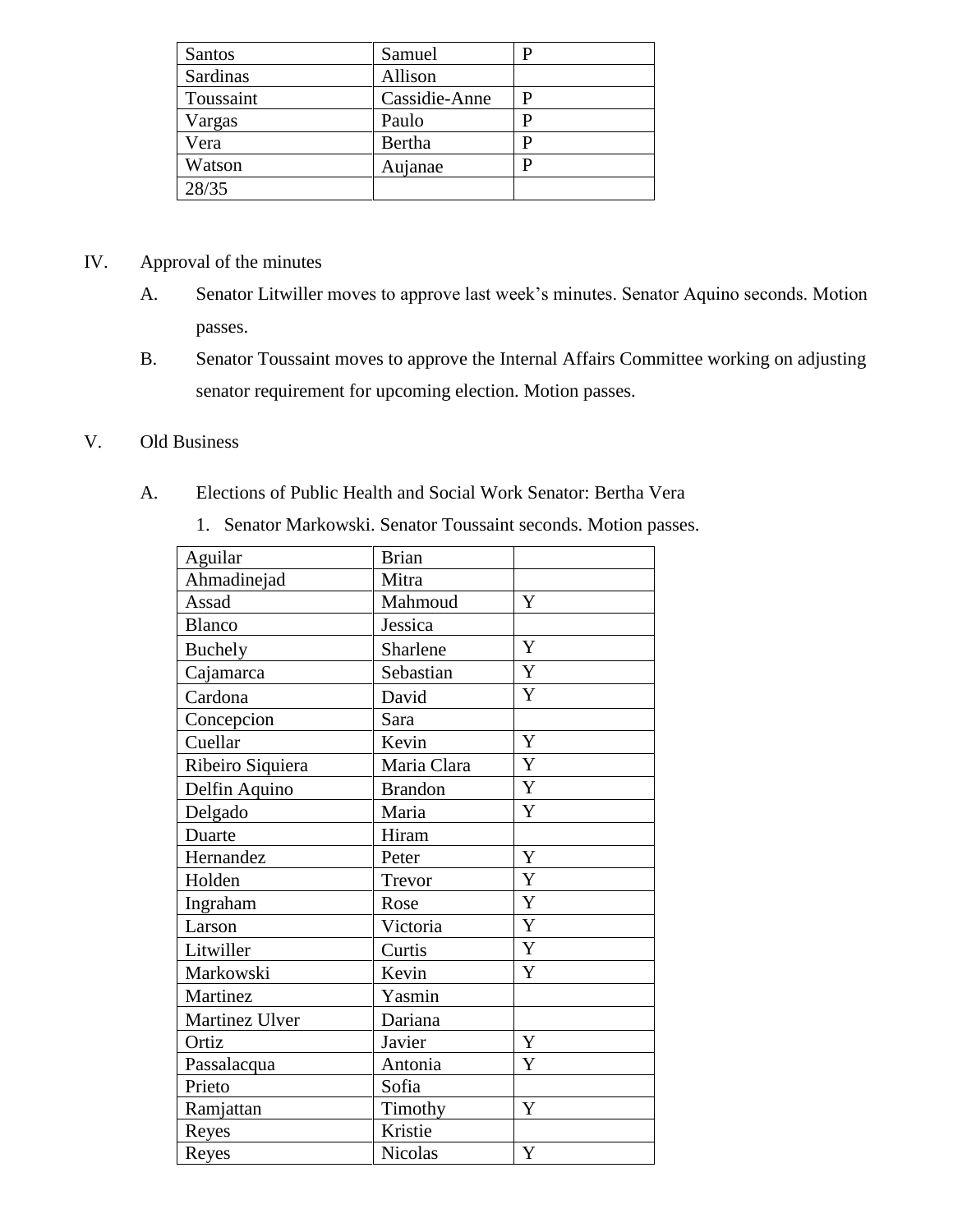| Santos    | Samuel        |  |
|-----------|---------------|--|
| Sardinas  | Allison       |  |
| Toussaint | Cassidie-Anne |  |
| Vargas    | Paulo         |  |
| Vera      | Bertha        |  |
| Watson    | Aujanae       |  |
| 28/35     |               |  |

# IV. Approval of the minutes

- A. Senator Litwiller moves to approve last week's minutes. Senator Aquino seconds. Motion passes.
- B. Senator Toussaint moves to approve the Internal Affairs Committee working on adjusting senator requirement for upcoming election. Motion passes.

## V. Old Business

# A. Elections of Public Health and Social Work Senator: Bertha Vera

| Aguilar          | <b>Brian</b>   |             |
|------------------|----------------|-------------|
| Ahmadinejad      | Mitra          |             |
| Assad            | Mahmoud        | Y           |
| <b>Blanco</b>    | Jessica        |             |
| <b>Buchely</b>   | Sharlene       | Y           |
| Cajamarca        | Sebastian      | Y           |
| Cardona          | David          | Y           |
| Concepcion       | Sara           |             |
| Cuellar          | Kevin          | $\mathbf Y$ |
| Ribeiro Siquiera | Maria Clara    | Y           |
| Delfin Aquino    | <b>Brandon</b> | $\mathbf Y$ |
| Delgado          | Maria          | Y           |
| Duarte           | Hiram          |             |
| Hernandez        | Peter          | Y           |
| Holden           | Trevor         | $\mathbf Y$ |
| Ingraham         | Rose           | Y           |
| Larson           | Victoria       | $\mathbf Y$ |
| Litwiller        | Curtis         | Y           |
| Markowski        | Kevin          | Y           |
| Martinez         | Yasmin         |             |
| Martinez Ulver   | Dariana        |             |
| Ortiz            | Javier         | Y           |
| Passalacqua      | Antonia        | Y           |
| Prieto           | Sofia          |             |
| Ramjattan        | Timothy        | Y           |
| Reyes            | Kristie        |             |
| Reyes            | Nicolas        | Y           |

1. Senator Markowski. Senator Toussaint seconds. Motion passes.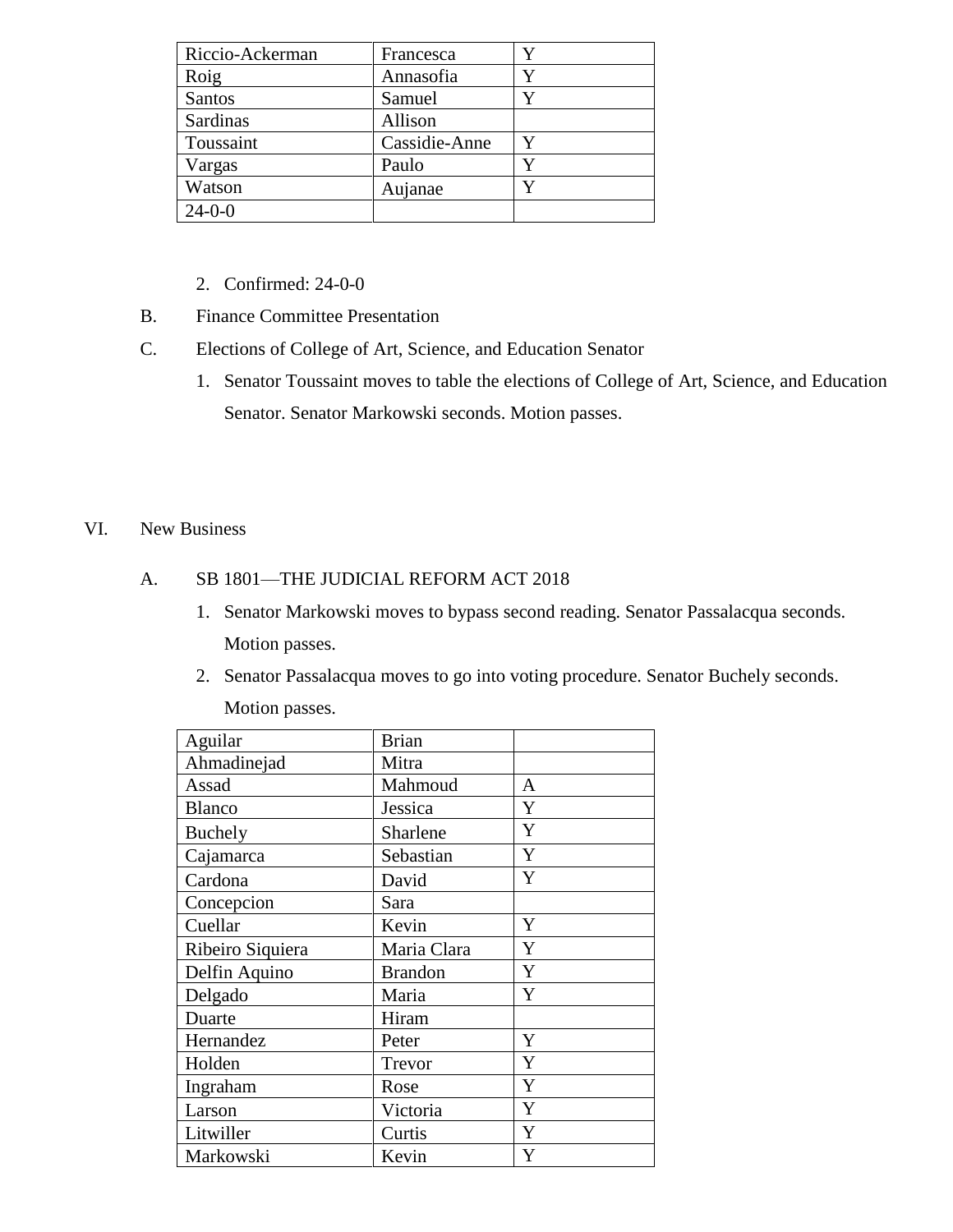| Riccio-Ackerman | Francesca     | Y |
|-----------------|---------------|---|
| Roig            | Annasofia     |   |
| Santos          | Samuel        | Y |
| Sardinas        | Allison       |   |
| Toussaint       | Cassidie-Anne |   |
| Vargas          | Paulo         |   |
| Watson          | Aujanae       | V |
| $24 - 0 - 0$    |               |   |

- 2. Confirmed: 24-0-0
- B. Finance Committee Presentation
- C. Elections of College of Art, Science, and Education Senator
	- 1. Senator Toussaint moves to table the elections of College of Art, Science, and Education Senator. Senator Markowski seconds. Motion passes.

#### VI. New Business

### A. SB 1801—THE JUDICIAL REFORM ACT 2018

- 1. Senator Markowski moves to bypass second reading. Senator Passalacqua seconds. Motion passes.
- 2. Senator Passalacqua moves to go into voting procedure. Senator Buchely seconds. Motion passes.

| Aguilar          | <b>Brian</b>   |   |
|------------------|----------------|---|
| Ahmadinejad      | Mitra          |   |
| Assad            | Mahmoud        | A |
| <b>Blanco</b>    | Jessica        | Y |
| Buchely          | Sharlene       | Y |
| Cajamarca        | Sebastian      | Y |
| Cardona          | David          | Y |
| Concepcion       | Sara           |   |
| Cuellar          | Kevin          | Y |
| Ribeiro Siquiera | Maria Clara    | Y |
| Delfin Aquino    | <b>Brandon</b> | Y |
| Delgado          | Maria          | Y |
| Duarte           | Hiram          |   |
| Hernandez        | Peter          | Y |
| Holden           | Trevor         | Y |
| Ingraham         | Rose           | Y |
| Larson           | Victoria       | Y |
| Litwiller        | Curtis         | Y |
| Markowski        | Kevin          | Y |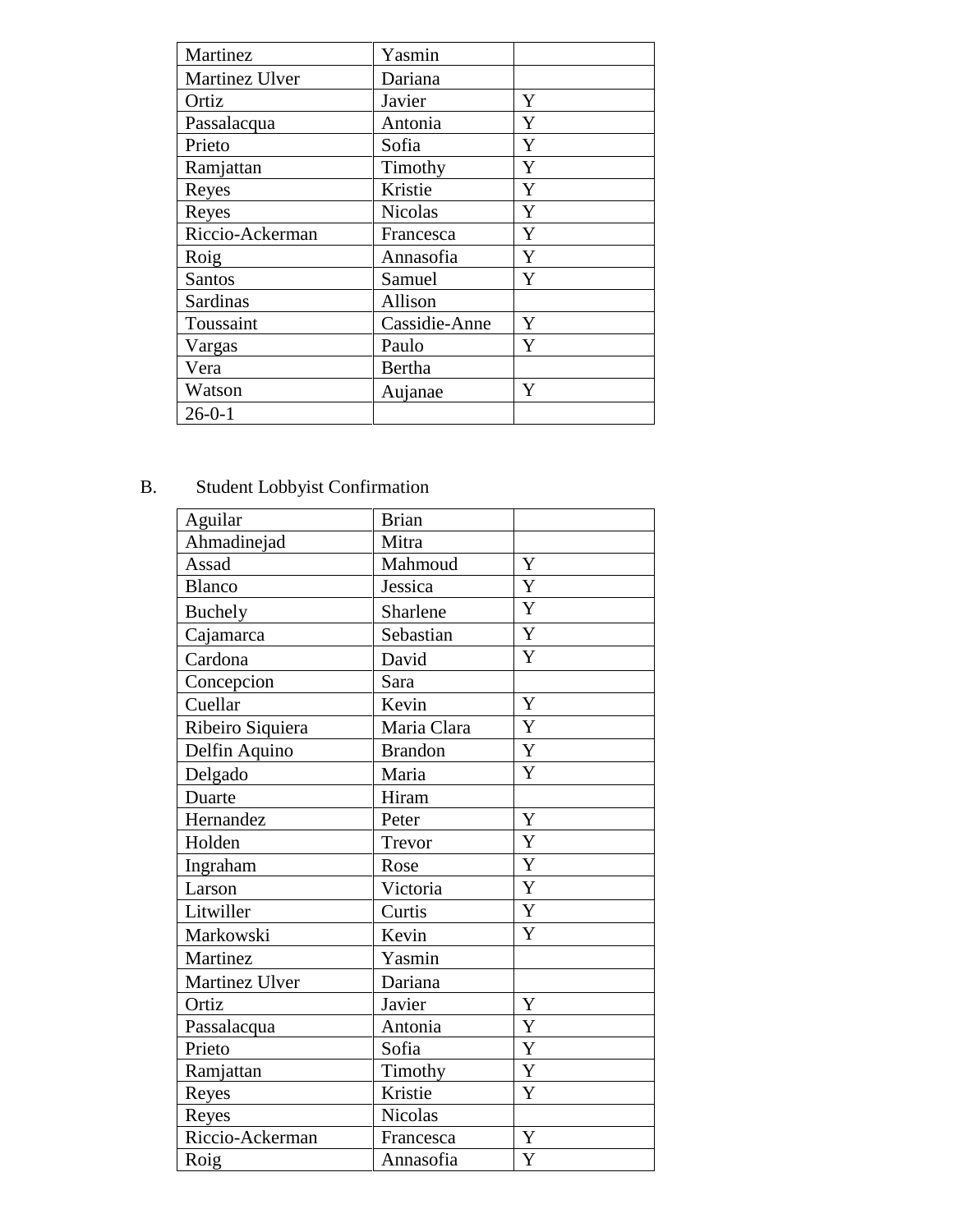| Martinez              | Yasmin         |   |
|-----------------------|----------------|---|
| <b>Martinez Ulver</b> | Dariana        |   |
| Ortiz                 | Javier         | Y |
| Passalacqua           | Antonia        | Y |
| Prieto                | Sofia          | Y |
| Ramjattan             | Timothy        | Y |
| Reyes                 | Kristie        | Y |
| Reyes                 | <b>Nicolas</b> | Y |
| Riccio-Ackerman       | Francesca      | Y |
| Roig                  | Annasofia      | Y |
| Santos                | Samuel         | Y |
| <b>Sardinas</b>       | Allison        |   |
| Toussaint             | Cassidie-Anne  | Y |
| Vargas                | Paulo          | Y |
| Vera                  | Bertha         |   |
| Watson                | Aujanae        | Y |
| $26 - 0 - 1$          |                |   |

# B. Student Lobbyist Confirmation

| Aguilar          | <b>Brian</b>   |                       |
|------------------|----------------|-----------------------|
| Ahmadinejad      | Mitra          |                       |
| Assad            | Mahmoud        | Y                     |
| <b>Blanco</b>    | Jessica        | $\overline{\text{Y}}$ |
| <b>Buchely</b>   | Sharlene       | Y                     |
| Cajamarca        | Sebastian      | Y                     |
| Cardona          | David          | Y                     |
| Concepcion       | Sara           |                       |
| Cuellar          | Kevin          | Y                     |
| Ribeiro Siquiera | Maria Clara    | Y                     |
| Delfin Aquino    | <b>Brandon</b> | Y                     |
| Delgado          | Maria          | Y                     |
| Duarte           | Hiram          |                       |
| Hernandez        | Peter          | $\mathbf Y$           |
| Holden           | Trevor         | Y                     |
| Ingraham         | Rose           | Y                     |
| Larson           | Victoria       | Y                     |
| Litwiller        | Curtis         | Y                     |
| Markowski        | Kevin          | Y                     |
| Martinez         | Yasmin         |                       |
| Martinez Ulver   | Dariana        |                       |
| Ortiz            | Javier         | Y                     |
| Passalacqua      | Antonia        | Y                     |
| Prieto           | Sofia          | Y                     |
| Ramjattan        | Timothy        | Y                     |
| Reyes            | Kristie        | Y                     |
| Reyes            | Nicolas        |                       |
| Riccio-Ackerman  | Francesca      | Y                     |
| Roig             | Annasofia      | Y                     |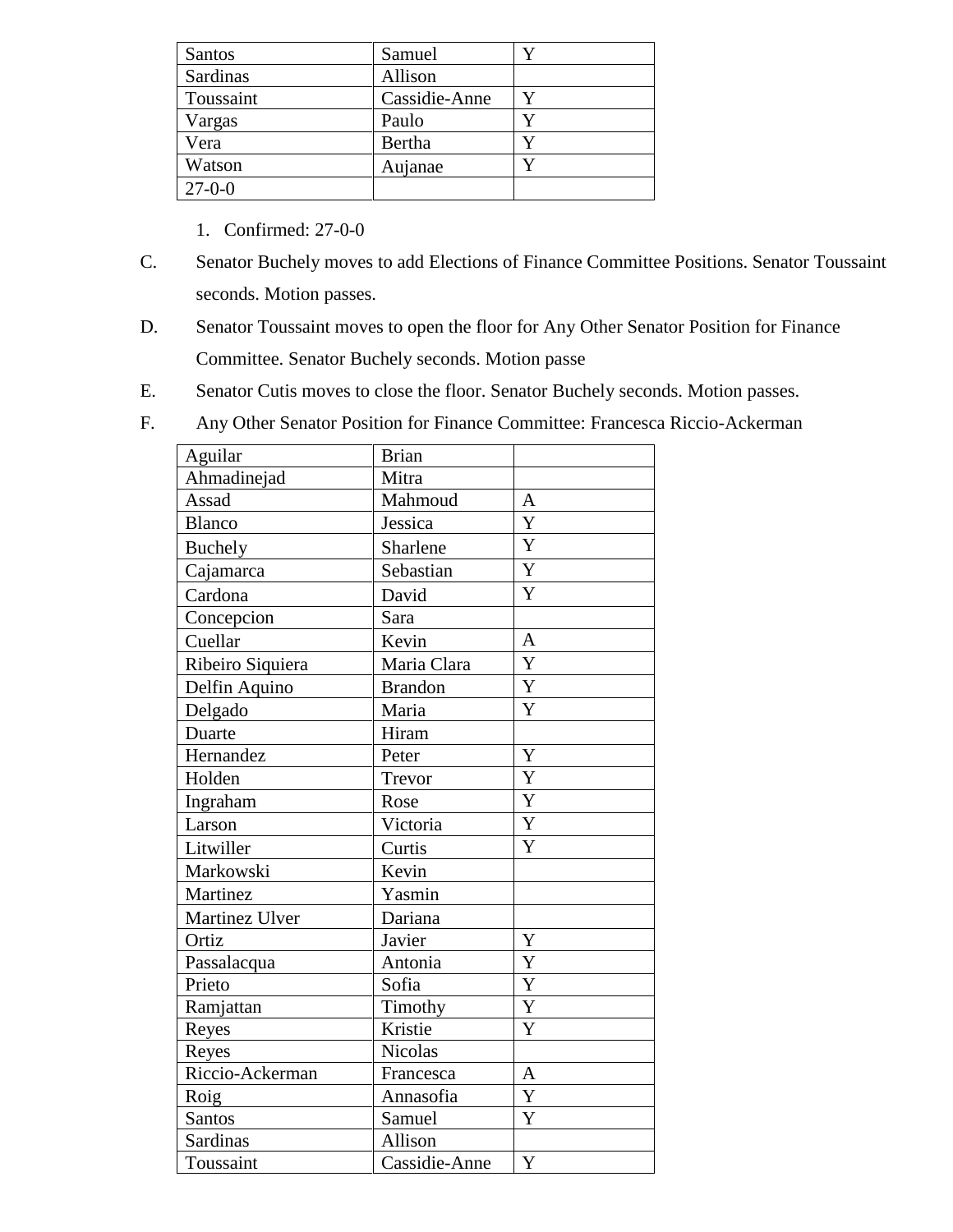| Santos       | Samuel        |  |
|--------------|---------------|--|
| Sardinas     | Allison       |  |
| Toussaint    | Cassidie-Anne |  |
| Vargas       | Paulo         |  |
| Vera         | Bertha        |  |
| Watson       | Aujanae       |  |
| $27 - 0 - 0$ |               |  |

- 1. Confirmed: 27-0-0
- C. Senator Buchely moves to add Elections of Finance Committee Positions. Senator Toussaint seconds. Motion passes.
- D. Senator Toussaint moves to open the floor for Any Other Senator Position for Finance Committee. Senator Buchely seconds. Motion passe
- E. Senator Cutis moves to close the floor. Senator Buchely seconds. Motion passes.
- F. Any Other Senator Position for Finance Committee: Francesca Riccio-Ackerman

| Aguilar          | <b>Brian</b>   |                       |
|------------------|----------------|-----------------------|
| Ahmadinejad      | Mitra          |                       |
| Assad            | Mahmoud        | A                     |
| <b>Blanco</b>    | Jessica        | Y                     |
| <b>Buchely</b>   | Sharlene       | Y                     |
| Cajamarca        | Sebastian      | Y                     |
| Cardona          | David          | Y                     |
| Concepcion       | Sara           |                       |
| Cuellar          | Kevin          | $\overline{A}$        |
| Ribeiro Siquiera | Maria Clara    | Y                     |
| Delfin Aquino    | <b>Brandon</b> | Y                     |
| Delgado          | Maria          | Y                     |
| Duarte           | Hiram          |                       |
| Hernandez        | Peter          | Y                     |
| Holden           | Trevor         | Y                     |
| Ingraham         | Rose           | Y                     |
| Larson           | Victoria       | Y                     |
| Litwiller        | Curtis         | Y                     |
| Markowski        | Kevin          |                       |
| Martinez         | Yasmin         |                       |
| Martinez Ulver   | Dariana        |                       |
| Ortiz            | Javier         | Y                     |
| Passalacqua      | Antonia        | Y                     |
| Prieto           | Sofia          | Y                     |
| Ramjattan        | Timothy        | Y                     |
| Reyes            | Kristie        | Y                     |
| Reyes            | <b>Nicolas</b> |                       |
| Riccio-Ackerman  | Francesca      | A                     |
| Roig             | Annasofia      | Y                     |
| Santos           | Samuel         | $\overline{\text{Y}}$ |
| Sardinas         | Allison        |                       |
| Toussaint        | Cassidie-Anne  | Y                     |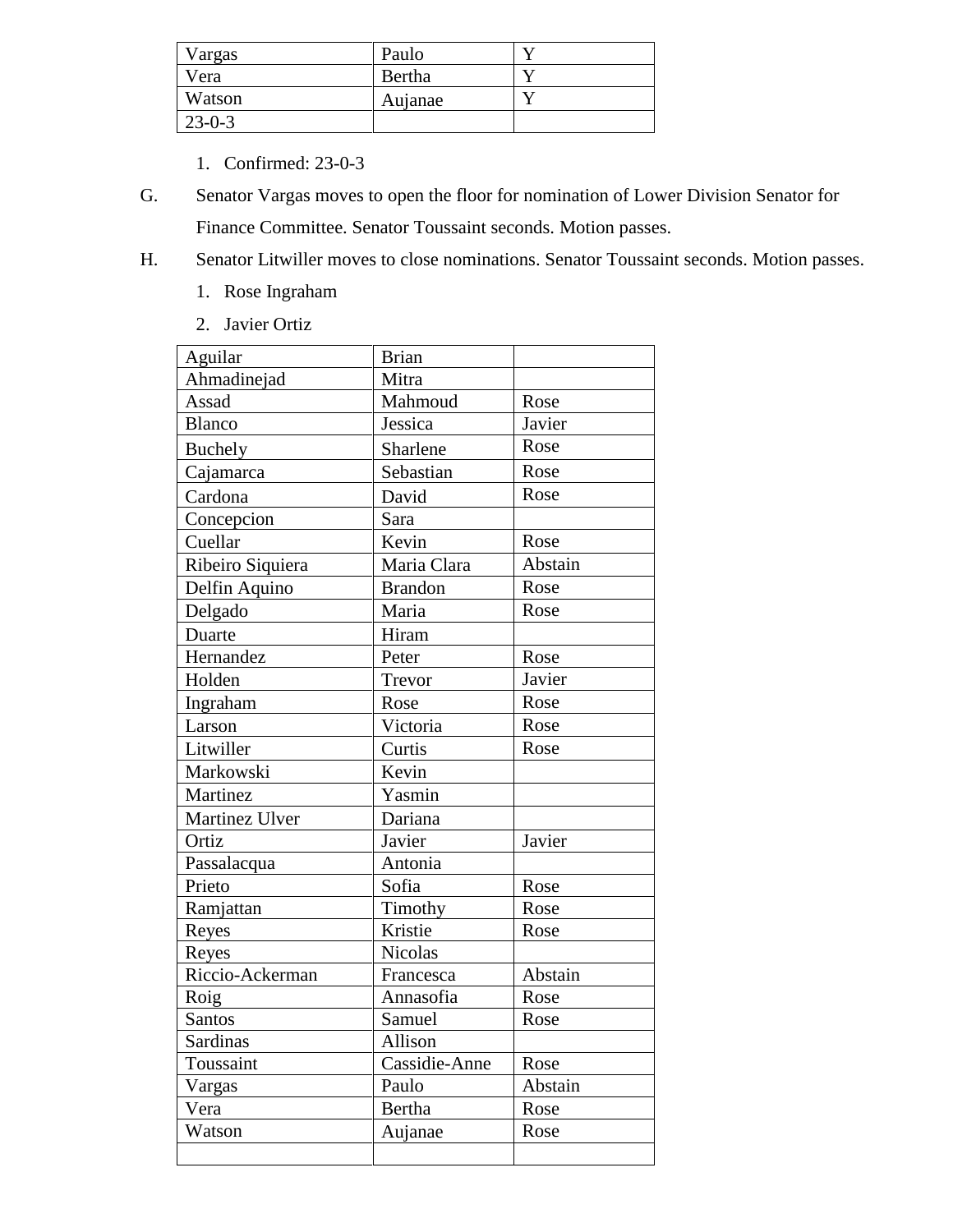| Vargas       | Paulo   |  |
|--------------|---------|--|
| Vera         | Bertha  |  |
| Watson       | Aujanae |  |
| $23 - 0 - 3$ |         |  |

- 1. Confirmed: 23-0-3
- G. Senator Vargas moves to open the floor for nomination of Lower Division Senator for Finance Committee. Senator Toussaint seconds. Motion passes.
- H. Senator Litwiller moves to close nominations. Senator Toussaint seconds. Motion passes.
	- 1. Rose Ingraham
	- 2. Javier Ortiz

| Aguilar          | <b>Brian</b>   |         |
|------------------|----------------|---------|
| Ahmadinejad      | Mitra          |         |
| Assad            | Mahmoud        | Rose    |
| <b>Blanco</b>    | Jessica        | Javier  |
| Buchely          | Sharlene       | Rose    |
| Cajamarca        | Sebastian      | Rose    |
| Cardona          | David          | Rose    |
| Concepcion       | Sara           |         |
| Cuellar          | Kevin          | Rose    |
| Ribeiro Siquiera | Maria Clara    | Abstain |
| Delfin Aquino    | <b>Brandon</b> | Rose    |
| Delgado          | Maria          | Rose    |
| Duarte           | Hiram          |         |
| Hernandez        | Peter          | Rose    |
| Holden           | Trevor         | Javier  |
| Ingraham         | Rose           | Rose    |
| Larson           | Victoria       | Rose    |
| Litwiller        | Curtis         | Rose    |
| Markowski        | Kevin          |         |
| Martinez         | Yasmin         |         |
| Martinez Ulver   | Dariana        |         |
| Ortiz            | Javier         | Javier  |
| Passalacqua      | Antonia        |         |
| Prieto           | Sofia          | Rose    |
| Ramjattan        | Timothy        | Rose    |
| Reyes            | Kristie        | Rose    |
| Reyes            | Nicolas        |         |
| Riccio-Ackerman  | Francesca      | Abstain |
| Roig             | Annasofia      | Rose    |
| Santos           | Samuel         | Rose    |
| Sardinas         | Allison        |         |
| Toussaint        | Cassidie-Anne  | Rose    |
| Vargas           | Paulo          | Abstain |
| Vera             | Bertha         | Rose    |
| Watson           | Aujanae        | Rose    |
|                  |                |         |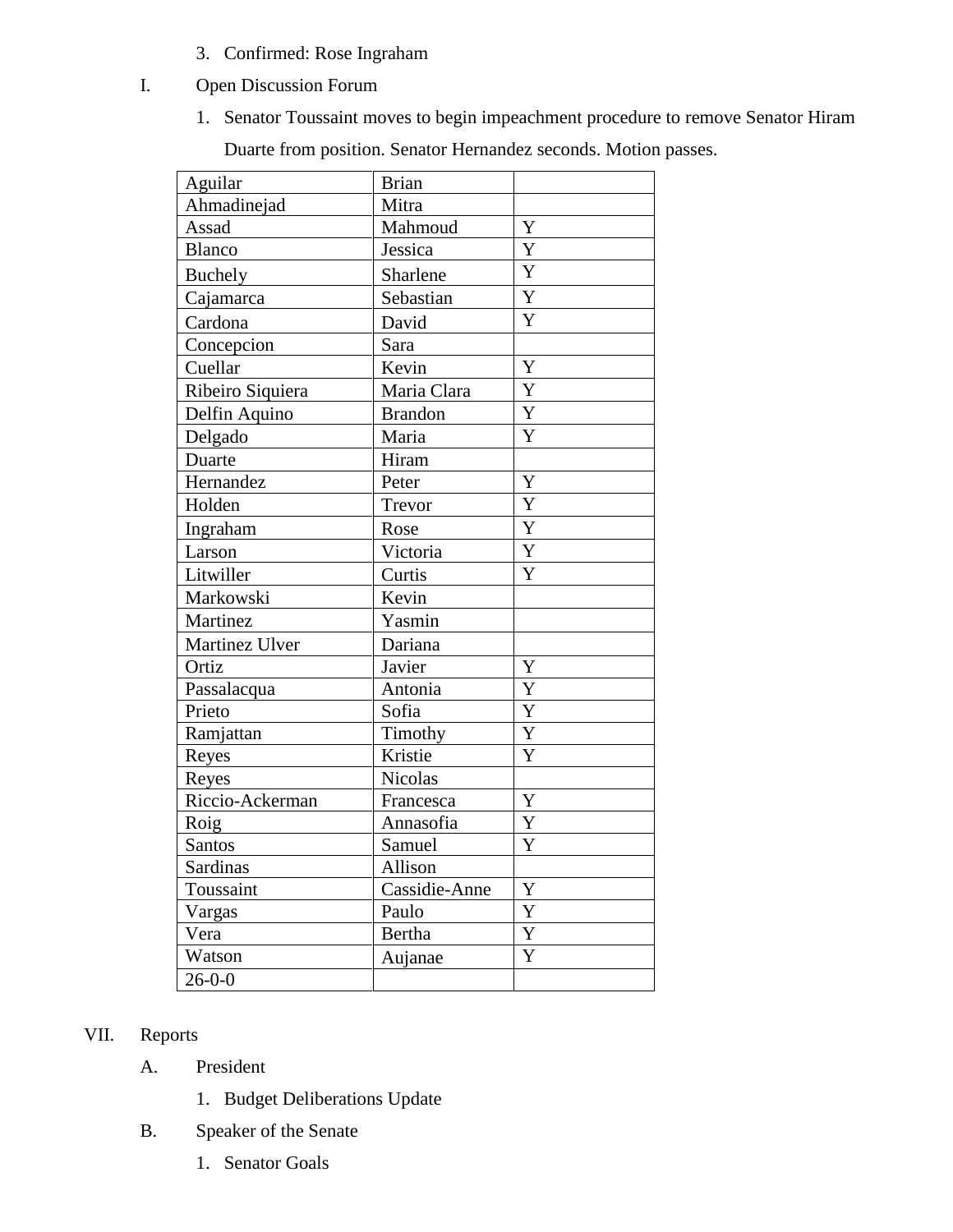- 3. Confirmed: Rose Ingraham
- I. Open Discussion Forum
	- 1. Senator Toussaint moves to begin impeachment procedure to remove Senator Hiram

Duarte from position. Senator Hernandez seconds. Motion passes.

| Aguilar          | <b>Brian</b>   |             |
|------------------|----------------|-------------|
| Ahmadinejad      | Mitra          |             |
| Assad            | Mahmoud        | Y           |
| <b>Blanco</b>    | Jessica        | Y           |
| Buchely          | Sharlene       | Y           |
| Cajamarca        | Sebastian      | Y           |
| Cardona          | David          | Y           |
| Concepcion       | Sara           |             |
| Cuellar          | Kevin          | Y           |
| Ribeiro Siquiera | Maria Clara    | Y           |
| Delfin Aquino    | <b>Brandon</b> | Y           |
| Delgado          | Maria          | Y           |
| Duarte           | Hiram          |             |
| Hernandez        | Peter          | Y           |
| Holden           | Trevor         | Y           |
| Ingraham         | Rose           | Y           |
| Larson           | Victoria       | Y           |
| Litwiller        | Curtis         | Y           |
| Markowski        | Kevin          |             |
| Martinez         | Yasmin         |             |
| Martinez Ulver   | Dariana        |             |
| Ortiz            | Javier         | Y           |
| Passalacqua      | Antonia        | Y           |
| Prieto           | Sofia          | Y           |
| Ramjattan        | Timothy        | Y           |
| Reyes            | Kristie        | Y           |
| Reyes            | Nicolas        |             |
| Riccio-Ackerman  | Francesca      | Y           |
| Roig             | Annasofia      | $\mathbf Y$ |
| <b>Santos</b>    | Samuel         | Y           |
| Sardinas         | Allison        |             |
| Toussaint        | Cassidie-Anne  | Y           |
| Vargas           | Paulo          | Y           |
| Vera             | Bertha         | Y           |
| Watson           | Aujanae        | Y           |
| $26 - 0 - 0$     |                |             |

# VII. Reports

- A. President
	- 1. Budget Deliberations Update
- B. Speaker of the Senate
	- 1. Senator Goals